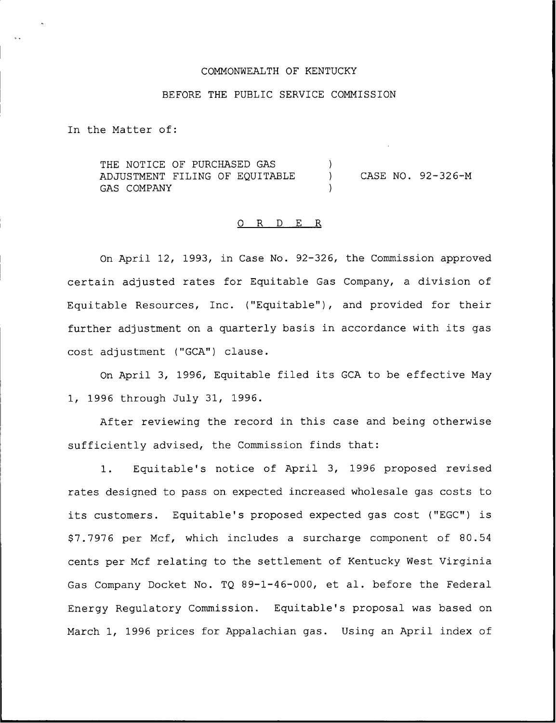# COMMONWEALTH OF KENTUCKY

#### BEFORE THE PUBLIC SERVICE COMMISSION

In the Matter of:

THE NOTICE OF PURCHASED GAS ADJUSTMENT FILING OF EQUITABLE GAS COMPANY ) ) CASE NO. 92-326-M )

## O R D E R

On April 12, 1993, in Case No. 92-326, the Commission approved certain adjusted rates for Equitable Gas Company, a division of Equitable Resources, Inc. ("Equitable"), and provided for their further adjustment on <sup>a</sup> quarterly basis in accordance with its gas cost adjustment ("GCA") clause.

On April 3, 1996, Equitable filed its GCA to be effective May 1, 1996 through July 31, 1996.

After reviewing the record in this case and being otherwise sufficiently advised, the Commission finds that:

1. Equitable's notice of April 3, 1996 proposed revised rates designed to pass on. expected increased wholesale gas costs to its customers. Equitable's proposed expected gas cost ("EGC") is 97.7976 per Mcf, which includes a surcharge component of 80.54 cents per Mcf relating to the settlement of Kentucky West Virginia Gas Company Docket No. TQ 89-1-46-000, et al. before the Federal Energy Regulatory Commission. Equitable's proposal was based on March 1, 1996 prices for Appalachian gas. Using an April index of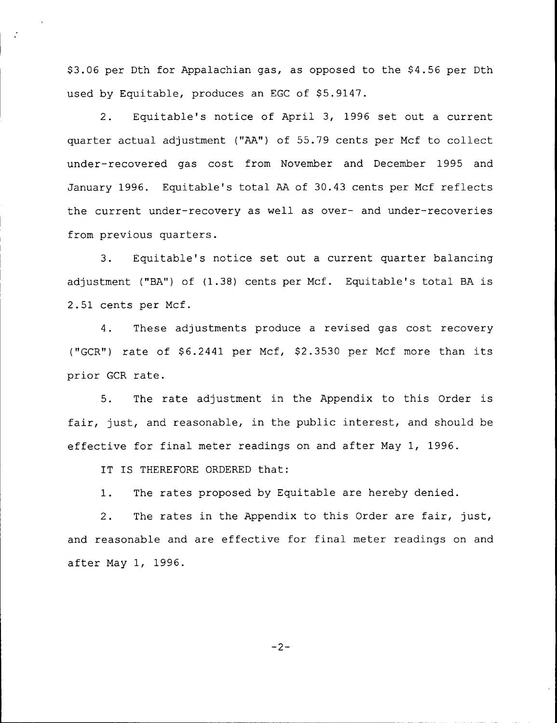\$3.06 per Dth for Appalachian gas, as opposed to the \$4.56 per Dth used by Equitable, produces an EGC of \$5.9147.

2. Equitable's notice of April 3, 1996 set out a current quarter actual adjustment ("AA") of 55.79 cents per Mcf to collect under-recovered gas cost from November and December 1995 and January 1996. Equitable's total AA of 30.43 cents per Mcf reflects the current under-recovery as well as over- and under-recoveries from previous quarters.

3. Equitable's notice set out a current quarter balancing adjustment ("BA") of (1.38) cents per Mcf. Equitable's total BA is 2.51 cents per Mcf.

4. These adjustments produce a revised gas cost recovery ("GCR") rate of \$6.2441 per Mcf, \$2.3530 per Mcf more than its prior GCR rate.

5. The rate adjustment in the Appendix to this Order is fair, just, and reasonable, in the public interest, and should be effective for final meter readings on and after May 1, 1996.

IT IS THEREFORE ORDERED that:

 $\mathcal{L}$ 

1. The rates proposed by Equitable are hereby denied.

2. The rates in the Appendix to this Order are fair, just, and reasonable and are effective for final meter readings on and after May 1, 1996.

 $-2-$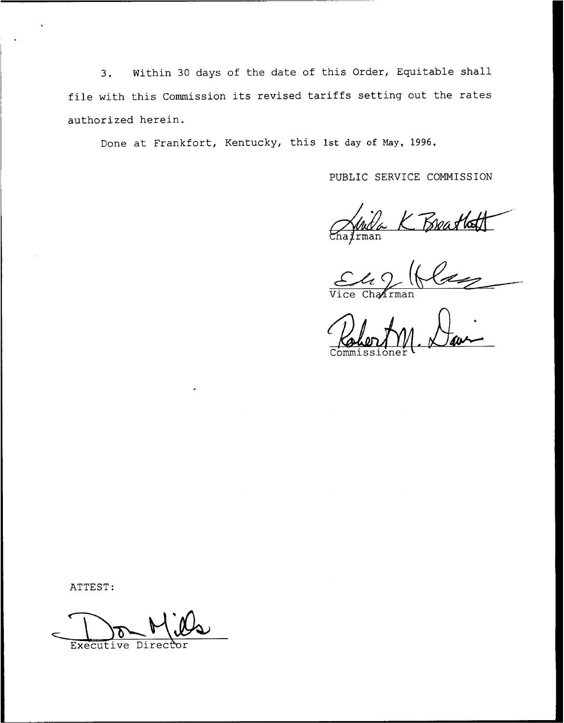3. Within <sup>30</sup> days of the date of this Order, Equitable shall file with this Commission its revised tariffs setting out the rates authorized herein.

Done at Frankfort, Kentucky, this 1st day of Nay, 1996.

PUBLIC SERVICE COMMISSION

Chafrman K Breatlett

Commissioner

ATTEST:

Executive